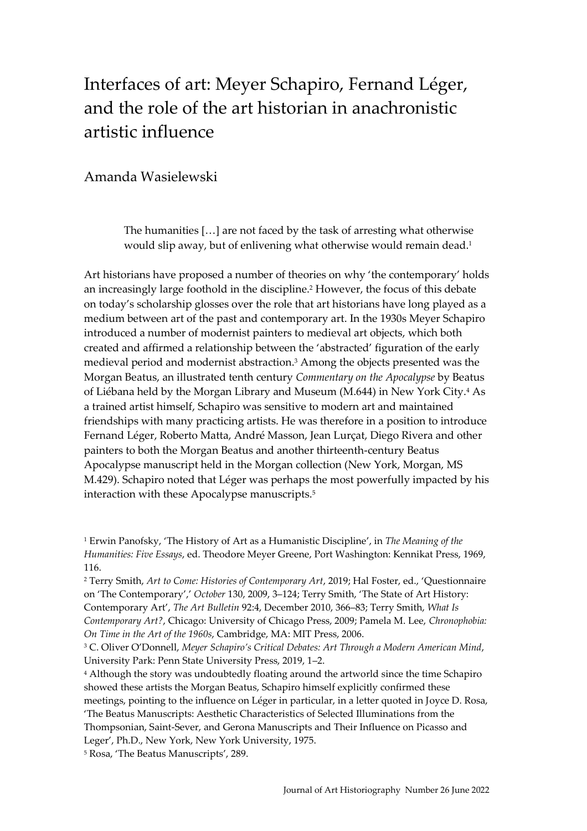# Interfaces of art: Meyer Schapiro, Fernand Léger, and the role of the art historian in anachronistic artistic influence

# Amanda Wasielewski

The humanities […] are not faced by the task of arresting what otherwise would slip away, but of enlivening what otherwise would remain dead.<sup>1</sup>

Art historians have proposed a number of theories on why 'the contemporary' holds an increasingly large foothold in the discipline. <sup>2</sup> However, the focus of this debate on today's scholarship glosses over the role that art historians have long played as a medium between art of the past and contemporary art. In the 1930s Meyer Schapiro introduced a number of modernist painters to medieval art objects, which both created and affirmed a relationship between the 'abstracted' figuration of the early medieval period and modernist abstraction.<sup>3</sup> Among the objects presented was the Morgan Beatus, an illustrated tenth century *Commentary on the Apocalypse* by Beatus of Liébana held by the Morgan Library and Museum (M.644) in New York City.<sup>4</sup> As a trained artist himself, Schapiro was sensitive to modern art and maintained friendships with many practicing artists. He was therefore in a position to introduce Fernand Léger, Roberto Matta, André Masson, Jean Lurçat, Diego Rivera and other painters to both the Morgan Beatus and another thirteenth-century Beatus Apocalypse manuscript held in the Morgan collection (New York, Morgan, MS M.429). Schapiro noted that Léger was perhaps the most powerfully impacted by his interaction with these Apocalypse manuscripts.<sup>5</sup>

<sup>1</sup> Erwin Panofsky, 'The History of Art as a Humanistic Discipline', in *The Meaning of the Humanities: Five Essays*, ed. Theodore Meyer Greene, Port Washington: Kennikat Press, 1969, 116.

<sup>2</sup> Terry Smith, *Art to Come: Histories of Contemporary Art*, 2019; Hal Foster, ed., 'Questionnaire on 'The Contemporary',' *October* 130, 2009, 3–124; Terry Smith, 'The State of Art History: Contemporary Art', *The Art Bulletin* 92:4, December 2010, 366–83; Terry Smith, *What Is Contemporary Art?*, Chicago: University of Chicago Press, 2009; Pamela M. Lee, *Chronophobia: On Time in the Art of the 1960s*, Cambridge, MA: MIT Press, 2006.

<sup>3</sup> C. Oliver O'Donnell, *Meyer Schapiro's Critical Debates: Art Through a Modern American Mind*, University Park: Penn State University Press, 2019, 1–2.

<sup>4</sup> Although the story was undoubtedly floating around the artworld since the time Schapiro showed these artists the Morgan Beatus, Schapiro himself explicitly confirmed these meetings, pointing to the influence on Léger in particular, in a letter quoted in Joyce D. Rosa, 'The Beatus Manuscripts: Aesthetic Characteristics of Selected Illuminations from the Thompsonian, Saint-Sever, and Gerona Manuscripts and Their Influence on Picasso and Leger', Ph.D., New York, New York University, 1975.

<sup>5</sup> Rosa, 'The Beatus Manuscripts', 289.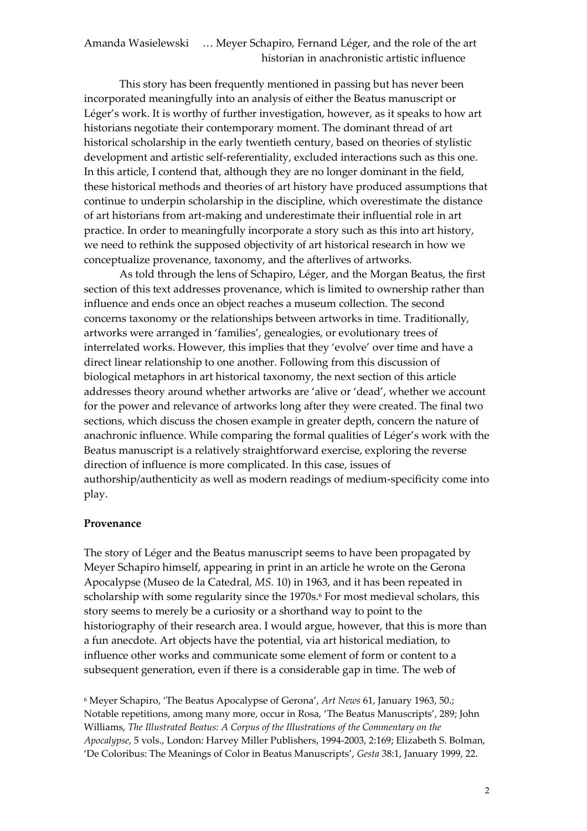This story has been frequently mentioned in passing but has never been incorporated meaningfully into an analysis of either the Beatus manuscript or Léger's work. It is worthy of further investigation, however, as it speaks to how art historians negotiate their contemporary moment. The dominant thread of art historical scholarship in the early twentieth century, based on theories of stylistic development and artistic self-referentiality, excluded interactions such as this one. In this article, I contend that, although they are no longer dominant in the field, these historical methods and theories of art history have produced assumptions that continue to underpin scholarship in the discipline, which overestimate the distance of art historians from art-making and underestimate their influential role in art practice. In order to meaningfully incorporate a story such as this into art history, we need to rethink the supposed objectivity of art historical research in how we conceptualize provenance, taxonomy, and the afterlives of artworks.

As told through the lens of Schapiro, Léger, and the Morgan Beatus, the first section of this text addresses provenance, which is limited to ownership rather than influence and ends once an object reaches a museum collection. The second concerns taxonomy or the relationships between artworks in time. Traditionally, artworks were arranged in 'families', genealogies, or evolutionary trees of interrelated works. However, this implies that they 'evolve' over time and have a direct linear relationship to one another. Following from this discussion of biological metaphors in art historical taxonomy, the next section of this article addresses theory around whether artworks are 'alive or 'dead', whether we account for the power and relevance of artworks long after they were created. The final two sections, which discuss the chosen example in greater depth, concern the nature of anachronic influence. While comparing the formal qualities of Léger's work with the Beatus manuscript is a relatively straightforward exercise, exploring the reverse direction of influence is more complicated. In this case, issues of authorship/authenticity as well as modern readings of medium-specificity come into play.

#### **Provenance**

The story of Léger and the Beatus manuscript seems to have been propagated by Meyer Schapiro himself, appearing in print in an article he wrote on the Gerona Apocalypse (Museo de la Catedral, *MS.* 10) in 1963, and it has been repeated in scholarship with some regularity since the 1970s.<sup>6</sup> For most medieval scholars, this story seems to merely be a curiosity or a shorthand way to point to the historiography of their research area. I would argue, however, that this is more than a fun anecdote. Art objects have the potential, via art historical mediation, to influence other works and communicate some element of form or content to a subsequent generation, even if there is a considerable gap in time. The web of

<sup>6</sup> Meyer Schapiro, 'The Beatus Apocalypse of Gerona', *Art News* 61, January 1963, 50.; Notable repetitions, among many more, occur in Rosa, 'The Beatus Manuscripts', 289; John Williams, *The Illustrated Beatus: A Corpus of the Illustrations of the Commentary on the Apocalypse*, 5 vols., London: Harvey Miller Publishers, 1994-2003, 2:169; Elizabeth S. Bolman, 'De Coloribus: The Meanings of Color in Beatus Manuscripts', *Gesta* 38:1, January 1999, 22.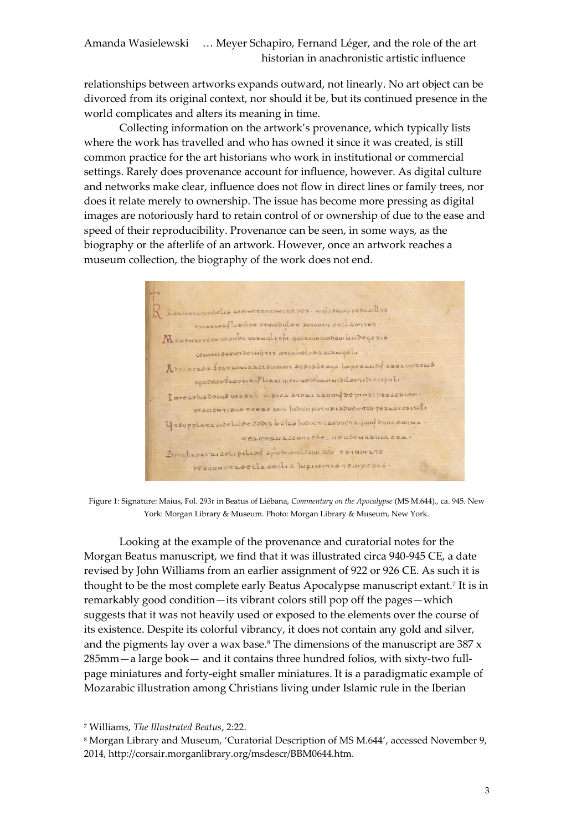relationships between artworks expands outward, not linearly. No art object can be divorced from its original context, nor should it be, but its continued presence in the world complicates and alters its meaning in time.

Collecting information on the artwork's provenance, which typically lists where the work has travelled and who has owned it since it was created, is still common practice for the art historians who work in institutional or commercial settings. Rarely does provenance account for influence, however. As digital culture and networks make clear, influence does not flow in direct lines or family trees, nor does it relate merely to ownership. The issue has become more pressing as digital images are notoriously hard to retain control of or ownership of due to the ease and speed of their reproducibility. Provenance can be seen, in some ways, as the biography or the afterlife of an artwork. However, once an artwork reaches a museum collection, the biography of the work does not end.

R Besoneguorpidelis resonegerconcreper and is auppepusillus exongansqlubilex eranoduler Besonen erclamiter. Mexencoreer combi vesaulizor quorumquiden kicdegezis conosusuavardernyare ancabel is a zcangele Деравовеф ратвомавсь будом бортвёведо Паревьмоф авиацистови equidemitado diant Librius en escription discribiscipuli INTEREIUS DECUS VERBACI E. PICA STORIARUM GOE PINXIPERSERIEM yrscientibus terre ann fudicii puturiaduentui peracturiscti y reupplers que licer codix bulus loducra reducra quod duo quan a. gergeracesquese gendemandana ens. Girchaparzisotipiliog spysiaulogasco ruinirare PERCUNCTASECLASECLIS INFINITISTEMPORIS.

Figure 1: Signature: Maius, Fol. 293r in Beatus of Liébana, *Commentary on the Apocalypse* (MS M.644)*.,* ca. 945. New York: Morgan Library & Museum. Photo: Morgan Library & Museum, New York.

Looking at the example of the provenance and curatorial notes for the Morgan Beatus manuscript, we find that it was illustrated circa 940-945 CE, a date revised by John Williams from an earlier assignment of 922 or 926 CE. As such it is thought to be the most complete early Beatus Apocalypse manuscript extant.<sup>7</sup> It is in remarkably good condition—its vibrant colors still pop off the pages—which suggests that it was not heavily used or exposed to the elements over the course of its existence. Despite its colorful vibrancy, it does not contain any gold and silver, and the pigments lay over a wax base.<sup>8</sup> The dimensions of the manuscript are  $387 \times$ 285mm—a large book— and it contains three hundred folios, with sixty-two fullpage miniatures and forty-eight smaller miniatures. It is a paradigmatic example of Mozarabic illustration among Christians living under Islamic rule in the Iberian

<sup>7</sup> Williams, *The Illustrated Beatus*, 2:22.

<sup>8</sup> Morgan Library and Museum, 'Curatorial Description of MS M.644', accessed November 9, 2014, http://corsair.morganlibrary.org/msdescr/BBM0644.htm.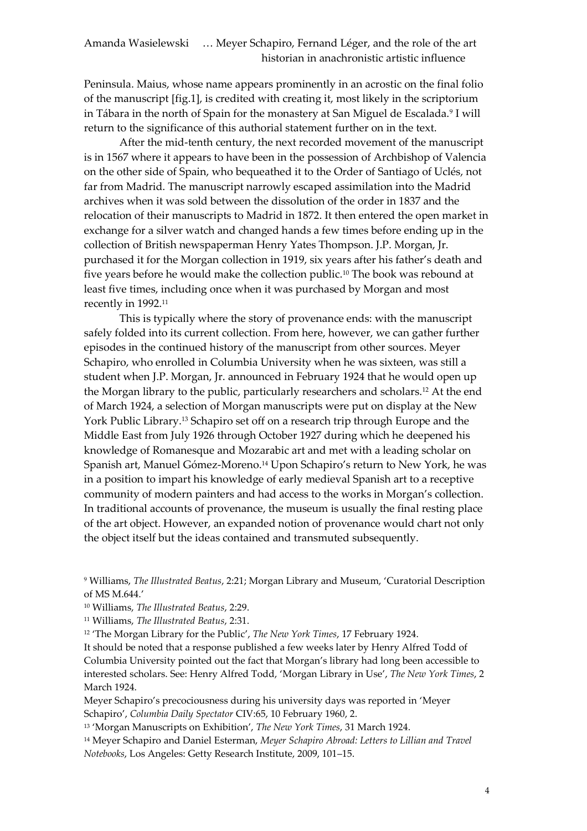Peninsula. Maius, whose name appears prominently in an acrostic on the final folio of the manuscript [fig.1], is credited with creating it, most likely in the scriptorium in Tábara in the north of Spain for the monastery at San Miguel de Escalada.<sup>9</sup> I will return to the significance of this authorial statement further on in the text.

After the mid-tenth century, the next recorded movement of the manuscript is in 1567 where it appears to have been in the possession of Archbishop of Valencia on the other side of Spain, who bequeathed it to the Order of Santiago of Uclés, not far from Madrid. The manuscript narrowly escaped assimilation into the Madrid archives when it was sold between the dissolution of the order in 1837 and the relocation of their manuscripts to Madrid in 1872. It then entered the open market in exchange for a silver watch and changed hands a few times before ending up in the collection of British newspaperman Henry Yates Thompson. J.P. Morgan, Jr. purchased it for the Morgan collection in 1919, six years after his father's death and five years before he would make the collection public.<sup>10</sup> The book was rebound at least five times, including once when it was purchased by Morgan and most recently in 1992.<sup>11</sup>

This is typically where the story of provenance ends: with the manuscript safely folded into its current collection. From here, however, we can gather further episodes in the continued history of the manuscript from other sources. Meyer Schapiro, who enrolled in Columbia University when he was sixteen, was still a student when J.P. Morgan, Jr. announced in February 1924 that he would open up the Morgan library to the public, particularly researchers and scholars.<sup>12</sup> At the end of March 1924, a selection of Morgan manuscripts were put on display at the New York Public Library.<sup>13</sup> Schapiro set off on a research trip through Europe and the Middle East from July 1926 through October 1927 during which he deepened his knowledge of Romanesque and Mozarabic art and met with a leading scholar on Spanish art, Manuel Gómez-Moreno.<sup>14</sup> Upon Schapiro's return to New York, he was in a position to impart his knowledge of early medieval Spanish art to a receptive community of modern painters and had access to the works in Morgan's collection. In traditional accounts of provenance, the museum is usually the final resting place of the art object. However, an expanded notion of provenance would chart not only the object itself but the ideas contained and transmuted subsequently.

12 'The Morgan Library for the Public', *The New York Times*, 17 February 1924.

It should be noted that a response published a few weeks later by Henry Alfred Todd of Columbia University pointed out the fact that Morgan's library had long been accessible to interested scholars. See: Henry Alfred Todd, 'Morgan Library in Use', *The New York Times*, 2 March 1924.

Meyer Schapiro's precociousness during his university days was reported in 'Meyer Schapiro', *Columbia Daily Spectator* CIV:65, 10 February 1960, 2.

13 'Morgan Manuscripts on Exhibition', *The New York Times*, 31 March 1924.

<sup>14</sup> Meyer Schapiro and Daniel Esterman, *Meyer Schapiro Abroad: Letters to Lillian and Travel Notebooks*, Los Angeles: Getty Research Institute, 2009, 101–15.

<sup>9</sup> Williams, *The Illustrated Beatus*, 2:21; Morgan Library and Museum, 'Curatorial Description of MS M.644.'

<sup>10</sup> Williams, *The Illustrated Beatus*, 2:29.

<sup>11</sup> Williams, *The Illustrated Beatus*, 2:31.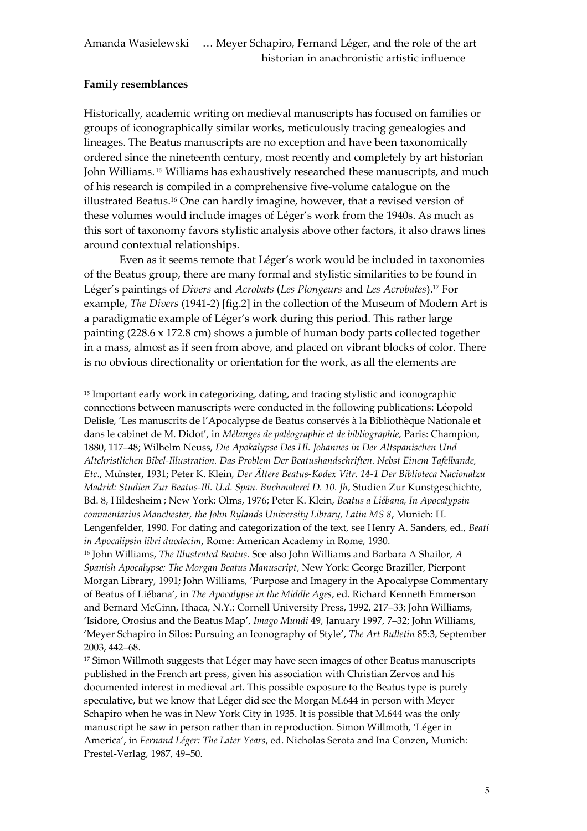## **Family resemblances**

Historically, academic writing on medieval manuscripts has focused on families or groups of iconographically similar works, meticulously tracing genealogies and lineages. The Beatus manuscripts are no exception and have been taxonomically ordered since the nineteenth century, most recently and completely by art historian John Williams. <sup>15</sup> Williams has exhaustively researched these manuscripts, and much of his research is compiled in a comprehensive five-volume catalogue on the illustrated Beatus.<sup>16</sup> One can hardly imagine, however, that a revised version of these volumes would include images of Léger's work from the 1940s. As much as this sort of taxonomy favors stylistic analysis above other factors, it also draws lines around contextual relationships.

Even as it seems remote that Léger's work would be included in taxonomies of the Beatus group, there are many formal and stylistic similarities to be found in Léger's paintings of *Divers* and *Acrobats* (*Les Plongeurs* and *Les Acrobates*).<sup>17</sup> For example, *The Divers* (1941-2) [fig.2] in the collection of the Museum of Modern Art is a paradigmatic example of Léger's work during this period. This rather large painting (228.6 x 172.8 cm) shows a jumble of human body parts collected together in a mass, almost as if seen from above, and placed on vibrant blocks of color. There is no obvious directionality or orientation for the work, as all the elements are

<sup>15</sup> Important early work in categorizing, dating, and tracing stylistic and iconographic connections between manuscripts were conducted in the following publications Léopold Delisle, 'Les manuscrits de l'Apocalypse de Beatus conservés à la Bibliothèque Nationale et dans le cabinet de M. Didot', in *M langes de pal ographie et de bibliographie,* Paris: Champion, 1880, 117–48; Wilhelm Neuss, *Die Apokalypse Des Hl. Johannes in Der Altspanischen Und Altchristlichen Bibel-Illustration. Das Problem Der Beatushandschriften. Nebst Einem Tafelbande, Etc.*, Mu nster, 1931; Peter K. Klein, *Der Ältere Beatus-Kodex Vitr. 14-1 Der Biblioteca Nacionalzu Madrid: Studien Zur Beatus-Ill. U.d. Span. Buchmalerei D. 10. Jh*, Studien Zur Kunstgeschichte, Bd. 8, Hildesheim ; New York: Olms, 1976; Peter K. Klein, *Beatus a Liébana, In Apocalypsin commentarius Manchester, the John Rylands University Library, Latin MS 8*, Munich: H. Lengenfelder, 1990. For dating and categorization of the text, see Henry A. Sanders, ed., *Beati in Apocalipsin libri duodecim*, Rome: American Academy in Rome, 1930.

<sup>16</sup> John Williams, *The Illustrated Beatus.* See also John Williams and Barbara A Shailor, *A Spanish Apocalypse: The Morgan Beatus Manuscript*, New York: George Braziller, Pierpont Morgan Library, 1991; John Williams, 'Purpose and Imagery in the Apocalypse Commentary of Beatus of Liébana', in *The Apocalypse in the Middle Ages*, ed. Richard Kenneth Emmerson and Bernard McGinn, Ithaca, N.Y.: Cornell University Press, 1992, 217–33; John Williams, 'Isidore, Orosius and the Beatus Map', *Imago Mundi* 49, January 1997, 7–32; John Williams, 'Meyer Schapiro in Silos: Pursuing an Iconography of Style', *The Art Bulletin* 85:3, September 2003, 442–68.

<sup>17</sup> Simon Willmoth suggests that Léger may have seen images of other Beatus manuscripts published in the French art press, given his association with Christian Zervos and his documented interest in medieval art. This possible exposure to the Beatus type is purely speculative, but we know that Léger did see the Morgan M.644 in person with Meyer Schapiro when he was in New York City in 1935. It is possible that M.644 was the only manuscript he saw in person rather than in reproduction. Simon Willmoth, 'Léger in America', in *Fernand Léger: The Later Years*, ed. Nicholas Serota and Ina Conzen, Munich: Prestel-Verlag, 1987, 49–50.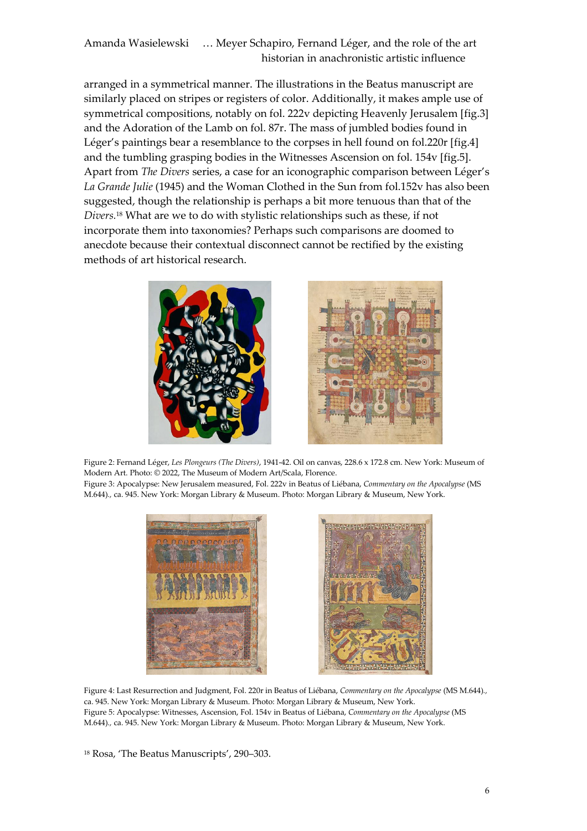arranged in a symmetrical manner. The illustrations in the Beatus manuscript are similarly placed on stripes or registers of color. Additionally, it makes ample use of symmetrical compositions, notably on fol. 222v depicting Heavenly Jerusalem [fig.3] and the Adoration of the Lamb on fol. 87r. The mass of jumbled bodies found in Léger's paintings bear a resemblance to the corpses in hell found on fol.220r [fig.4] and the tumbling grasping bodies in the Witnesses Ascension on fol. 154v [fig.5]. Apart from *The Divers* series, a case for an iconographic comparison between Léger's *La Grande Julie* (1945) and the Woman Clothed in the Sun from fol.152v has also been suggested, though the relationship is perhaps a bit more tenuous than that of the *Divers.*<sup>18</sup> What are we to do with stylistic relationships such as these, if not incorporate them into taxonomies? Perhaps such comparisons are doomed to anecdote because their contextual disconnect cannot be rectified by the existing methods of art historical research.





Figure 2: Fernand Léger, *Les Plongeurs (The Divers)*, 1941-42. Oil on canvas, 228.6 x 172.8 cm. New York: Museum of Modern Art. Photo: © 2022, The Museum of Modern Art/Scala, Florence. Figure 3: Apocalypse: New Jerusalem measured, Fol. 222v in Beatus of Liébana, *Commentary on the Apocalypse* (MS M.644)*.,* ca. 945. New York: Morgan Library & Museum. Photo: Morgan Library & Museum, New York.





Figure 4: Last Resurrection and Judgment, Fol. 220r in Beatus of Liébana, *Commentary on the Apocalypse* (MS M.644)*.,* ca. 945. New York: Morgan Library & Museum. Photo: Morgan Library & Museum, New York. Figure 5: Apocalypse: Witnesses, Ascension, Fol. 154v in Beatus of Liébana, *Commentary on the Apocalypse* (MS M.644)*.,* ca. 945. New York: Morgan Library & Museum. Photo: Morgan Library & Museum, New York.

<sup>18</sup> Rosa, 'The Beatus Manuscripts', 290–303.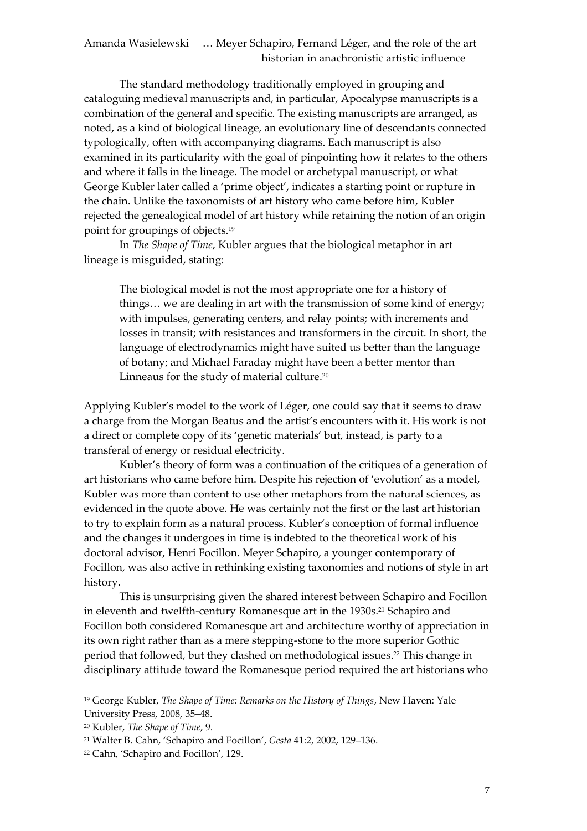The standard methodology traditionally employed in grouping and cataloguing medieval manuscripts and, in particular, Apocalypse manuscripts is a combination of the general and specific. The existing manuscripts are arranged, as noted, as a kind of biological lineage, an evolutionary line of descendants connected typologically, often with accompanying diagrams. Each manuscript is also examined in its particularity with the goal of pinpointing how it relates to the others and where it falls in the lineage. The model or archetypal manuscript, or what George Kubler later called a 'prime object', indicates a starting point or rupture in the chain. Unlike the taxonomists of art history who came before him, Kubler rejected the genealogical model of art history while retaining the notion of an origin point for groupings of objects. 19

In *The Shape of Time*, Kubler argues that the biological metaphor in art lineage is misguided, stating:

The biological model is not the most appropriate one for a history of things… we are dealing in art with the transmission of some kind of energy; with impulses, generating centers, and relay points; with increments and losses in transit; with resistances and transformers in the circuit. In short, the language of electrodynamics might have suited us better than the language of botany; and Michael Faraday might have been a better mentor than Linneaus for the study of material culture.<sup>20</sup>

Applying Kubler's model to the work of Léger, one could say that it seems to draw a charge from the Morgan Beatus and the artist's encounters with it. His work is not a direct or complete copy of its 'genetic materials' but, instead, is party to a transferal of energy or residual electricity.

Kubler's theory of form was a continuation of the critiques of a generation of art historians who came before him. Despite his rejection of 'evolution' as a model, Kubler was more than content to use other metaphors from the natural sciences, as evidenced in the quote above. He was certainly not the first or the last art historian to try to explain form as a natural process. Kubler's conception of formal influence and the changes it undergoes in time is indebted to the theoretical work of his doctoral advisor, Henri Focillon. Meyer Schapiro, a younger contemporary of Focillon, was also active in rethinking existing taxonomies and notions of style in art history.

This is unsurprising given the shared interest between Schapiro and Focillon in eleventh and twelfth-century Romanesque art in the 1930s. <sup>21</sup> Schapiro and Focillon both considered Romanesque art and architecture worthy of appreciation in its own right rather than as a mere stepping-stone to the more superior Gothic period that followed, but they clashed on methodological issues. <sup>22</sup> This change in disciplinary attitude toward the Romanesque period required the art historians who

<sup>19</sup> George Kubler, *The Shape of Time: Remarks on the History of Things*, New Haven: Yale University Press, 2008, 35–48.

<sup>20</sup> Kubler, *The Shape of Time*, 9.

<sup>21</sup> Walter B. Cahn, 'Schapiro and Focillon', *Gesta* 41:2, 2002, 129–136.

<sup>22</sup> Cahn, 'Schapiro and Focillon', 129.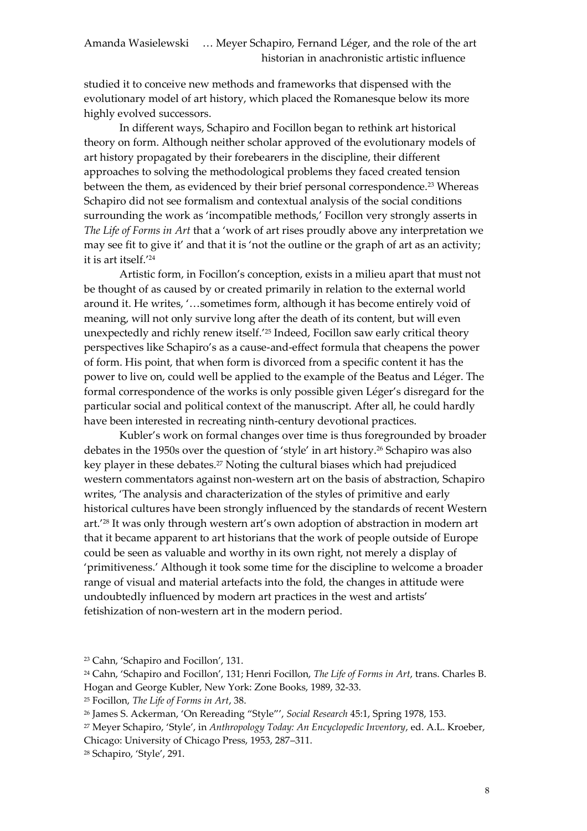studied it to conceive new methods and frameworks that dispensed with the evolutionary model of art history, which placed the Romanesque below its more highly evolved successors.

In different ways, Schapiro and Focillon began to rethink art historical theory on form. Although neither scholar approved of the evolutionary models of art history propagated by their forebearers in the discipline, their different approaches to solving the methodological problems they faced created tension between the them, as evidenced by their brief personal correspondence.<sup>23</sup> Whereas Schapiro did not see formalism and contextual analysis of the social conditions surrounding the work as 'incompatible methods,' Focillon very strongly asserts in *The Life of Forms in Art* that a 'work of art rises proudly above any interpretation we may see fit to give it' and that it is 'not the outline or the graph of art as an activity; it is art itself.' 24

Artistic form, in Focillon's conception, exists in a milieu apart that must not be thought of as caused by or created primarily in relation to the external world around it. He writes, '…sometimes form, although it has become entirely void of meaning, will not only survive long after the death of its content, but will even unexpectedly and richly renew itself.' <sup>25</sup> Indeed, Focillon saw early critical theory perspectives like Schapiro's as a cause-and-effect formula that cheapens the power of form. His point, that when form is divorced from a specific content it has the power to live on, could well be applied to the example of the Beatus and Léger. The formal correspondence of the works is only possible given Léger's disregard for the particular social and political context of the manuscript. After all, he could hardly have been interested in recreating ninth-century devotional practices.

Kubler's work on formal changes over time is thus foregrounded by broader debates in the 1950s over the question of 'style' in art history.<sup>26</sup> Schapiro was also key player in these debates.<sup>27</sup> Noting the cultural biases which had prejudiced western commentators against non-western art on the basis of abstraction, Schapiro writes, 'The analysis and characterization of the styles of primitive and early historical cultures have been strongly influenced by the standards of recent Western art.' <sup>28</sup> It was only through western art's own adoption of abstraction in modern art that it became apparent to art historians that the work of people outside of Europe could be seen as valuable and worthy in its own right, not merely a display of 'primitiveness.' Although it took some time for the discipline to welcome a broader range of visual and material artefacts into the fold, the changes in attitude were undoubtedly influenced by modern art practices in the west and artists' fetishization of non-western art in the modern period.

<sup>23</sup> Cahn, 'Schapiro and Focillon', 131.

<sup>24</sup> Cahn, 'Schapiro and Focillon', 131; Henri Focillon, *The Life of Forms in Art*, trans. Charles B. Hogan and George Kubler, New York: Zone Books, 1989, 32-33.

<sup>25</sup> Focillon, *The Life of Forms in Art*, 38.

<sup>26</sup> James S. Ackerman, 'On Rereading "Style"', *Social Research* 45:1, Spring 1978, 153.

<sup>27</sup> Meyer Schapiro, 'Style', in *Anthropology Today: An Encyclopedic Inventory*, ed. A.L. Kroeber, Chicago: University of Chicago Press, 1953, 287–311.

<sup>28</sup> Schapiro, 'Style', 291.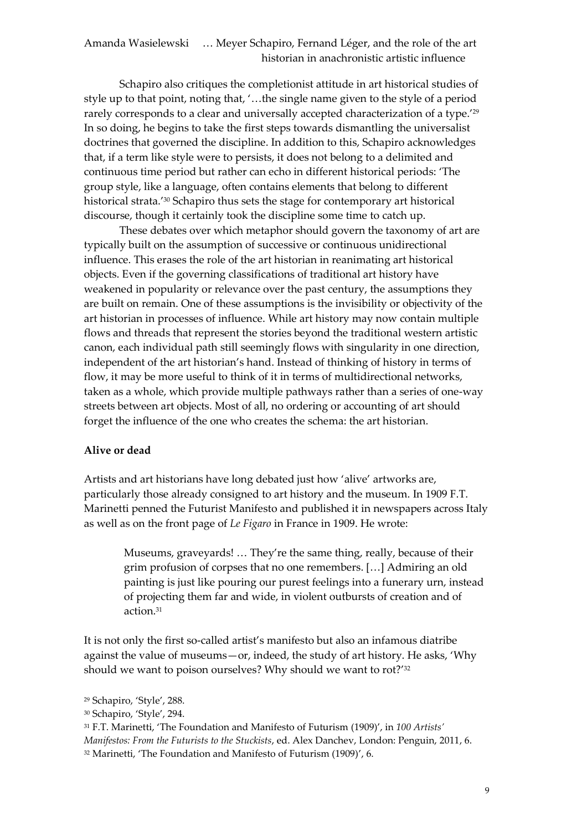Schapiro also critiques the completionist attitude in art historical studies of style up to that point, noting that, '…the single name given to the style of a period rarely corresponds to a clear and universally accepted characterization of a type.' 29 In so doing, he begins to take the first steps towards dismantling the universalist doctrines that governed the discipline. In addition to this, Schapiro acknowledges that, if a term like style were to persists, it does not belong to a delimited and continuous time period but rather can echo in different historical periods: 'The group style, like a language, often contains elements that belong to different historical strata.' <sup>30</sup> Schapiro thus sets the stage for contemporary art historical discourse, though it certainly took the discipline some time to catch up.

These debates over which metaphor should govern the taxonomy of art are typically built on the assumption of successive or continuous unidirectional influence. This erases the role of the art historian in reanimating art historical objects. Even if the governing classifications of traditional art history have weakened in popularity or relevance over the past century, the assumptions they are built on remain. One of these assumptions is the invisibility or objectivity of the art historian in processes of influence. While art history may now contain multiple flows and threads that represent the stories beyond the traditional western artistic canon, each individual path still seemingly flows with singularity in one direction, independent of the art historian's hand. Instead of thinking of history in terms of flow, it may be more useful to think of it in terms of multidirectional networks, taken as a whole, which provide multiple pathways rather than a series of one-way streets between art objects. Most of all, no ordering or accounting of art should forget the influence of the one who creates the schema: the art historian.

#### **Alive or dead**

Artists and art historians have long debated just how 'alive' artworks are, particularly those already consigned to art history and the museum. In 1909 F.T. Marinetti penned the Futurist Manifesto and published it in newspapers across Italy as well as on the front page of *Le Figaro* in France in 1909. He wrote:

Museums, graveyards! … They're the same thing, really, because of their grim profusion of corpses that no one remembers. […] Admiring an old painting is just like pouring our purest feelings into a funerary urn, instead of projecting them far and wide, in violent outbursts of creation and of action.<sup>31</sup>

It is not only the first so-called artist's manifesto but also an infamous diatribe against the value of museums—or, indeed, the study of art history. He asks, 'Why should we want to poison ourselves? Why should we want to rot?' 32

<sup>29</sup> Schapiro, 'Style', 288.

<sup>30</sup> Schapiro, 'Style', 294.

<sup>31</sup> F.T. Marinetti, 'The Foundation and Manifesto of Futurism (1909)', in *100 Artists'* 

*Manifestos: From the Futurists to the Stuckists*, ed. Alex Danchev, London: Penguin, 2011, 6.

<sup>32</sup> Marinetti, 'The Foundation and Manifesto of Futurism (1909)', 6.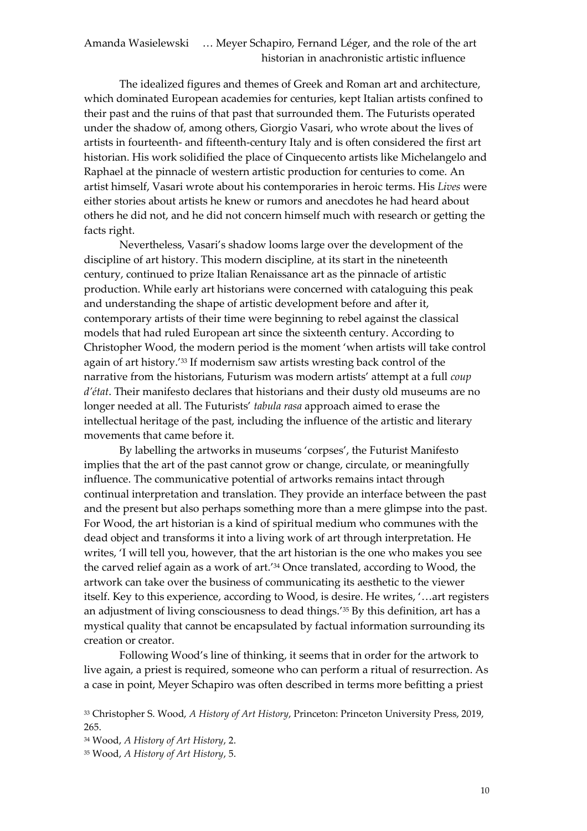The idealized figures and themes of Greek and Roman art and architecture, which dominated European academies for centuries, kept Italian artists confined to their past and the ruins of that past that surrounded them. The Futurists operated under the shadow of, among others, Giorgio Vasari, who wrote about the lives of artists in fourteenth- and fifteenth-century Italy and is often considered the first art historian. His work solidified the place of Cinquecento artists like Michelangelo and Raphael at the pinnacle of western artistic production for centuries to come. An artist himself, Vasari wrote about his contemporaries in heroic terms. His *Lives* were either stories about artists he knew or rumors and anecdotes he had heard about others he did not, and he did not concern himself much with research or getting the facts right.

Nevertheless, Vasari's shadow looms large over the development of the discipline of art history. This modern discipline, at its start in the nineteenth century, continued to prize Italian Renaissance art as the pinnacle of artistic production. While early art historians were concerned with cataloguing this peak and understanding the shape of artistic development before and after it, contemporary artists of their time were beginning to rebel against the classical models that had ruled European art since the sixteenth century. According to Christopher Wood, the modern period is the moment 'when artists will take control again of art history.' <sup>33</sup> If modernism saw artists wresting back control of the narrative from the historians, Futurism was modern artists' attempt at a full *coup d' tat*. Their manifesto declares that historians and their dusty old museums are no longer needed at all. The Futurists' *tabula rasa* approach aimed to erase the intellectual heritage of the past, including the influence of the artistic and literary movements that came before it.

By labelling the artworks in museums 'corpses', the Futurist Manifesto implies that the art of the past cannot grow or change, circulate, or meaningfully influence. The communicative potential of artworks remains intact through continual interpretation and translation. They provide an interface between the past and the present but also perhaps something more than a mere glimpse into the past. For Wood, the art historian is a kind of spiritual medium who communes with the dead object and transforms it into a living work of art through interpretation. He writes, 'I will tell you, however, that the art historian is the one who makes you see the carved relief again as a work of art.' <sup>34</sup> Once translated, according to Wood, the artwork can take over the business of communicating its aesthetic to the viewer itself. Key to this experience, according to Wood, is desire. He writes, '…art registers an adjustment of living consciousness to dead things.' <sup>35</sup> By this definition, art has a mystical quality that cannot be encapsulated by factual information surrounding its creation or creator.

Following Wood's line of thinking, it seems that in order for the artwork to live again, a priest is required, someone who can perform a ritual of resurrection. As a case in point, Meyer Schapiro was often described in terms more befitting a priest

<sup>34</sup> Wood, *A History of Art History*, 2.

<sup>35</sup> Wood, *A History of Art History*, 5.

<sup>33</sup> Christopher S. Wood, *A History of Art History*, Princeton: Princeton University Press, 2019, 265.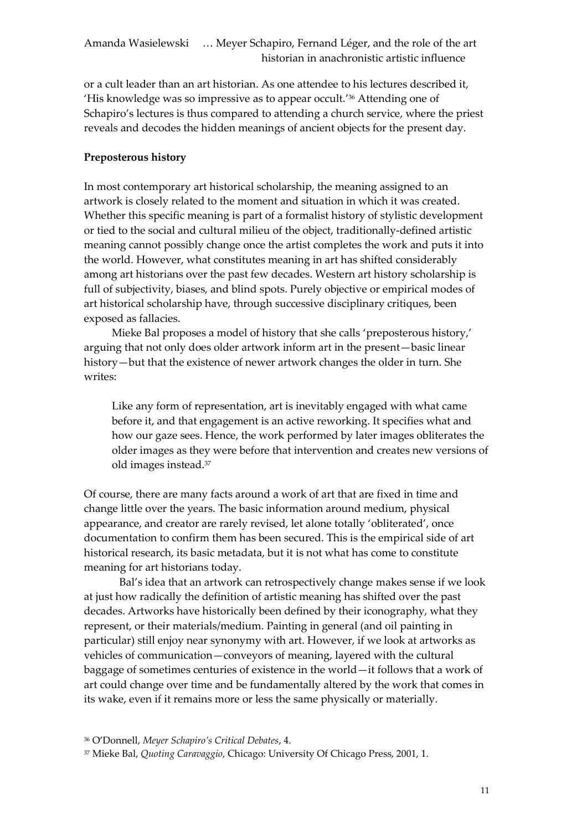or a cult leader than an art historian. As one attendee to his lectures described it, 'His knowledge was so impressive as to appear occult.' <sup>36</sup> Attending one of Schapiro's lectures is thus compared to attending a church service, where the priest reveals and decodes the hidden meanings of ancient objects for the present day.

## **Preposterous history**

In most contemporary art historical scholarship, the meaning assigned to an artwork is closely related to the moment and situation in which it was created. Whether this specific meaning is part of a formalist history of stylistic development or tied to the social and cultural milieu of the object, traditionally-defined artistic meaning cannot possibly change once the artist completes the work and puts it into the world. However, what constitutes meaning in art has shifted considerably among art historians over the past few decades. Western art history scholarship is full of subjectivity, biases, and blind spots. Purely objective or empirical modes of art historical scholarship have, through successive disciplinary critiques, been exposed as fallacies.

Mieke Bal proposes a model of history that she calls 'preposterous history,' arguing that not only does older artwork inform art in the present—basic linear history—but that the existence of newer artwork changes the older in turn. She writes:

Like any form of representation, art is inevitably engaged with what came before it, and that engagement is an active reworking. It specifies what and how our gaze sees. Hence, the work performed by later images obliterates the older images as they were before that intervention and creates new versions of old images instead.<sup>37</sup>

Of course, there are many facts around a work of art that are fixed in time and change little over the years. The basic information around medium, physical appearance, and creator are rarely revised, let alone totally 'obliterated', once documentation to confirm them has been secured. This is the empirical side of art historical research, its basic metadata, but it is not what has come to constitute meaning for art historians today.

Bal's idea that an artwork can retrospectively change makes sense if we look at just how radically the definition of artistic meaning has shifted over the past decades. Artworks have historically been defined by their iconography, what they represent, or their materials/medium. Painting in general (and oil painting in particular) still enjoy near synonymy with art. However, if we look at artworks as vehicles of communication—conveyors of meaning, layered with the cultural baggage of sometimes centuries of existence in the world—it follows that a work of art could change over time and be fundamentally altered by the work that comes in its wake, even if it remains more or less the same physically or materially.

<sup>37</sup> Mieke Bal, *Quoting Caravaggio*, Chicago: University Of Chicago Press, 2001, 1.

<sup>36</sup> O'Donnell, *Meyer Schapiro's Critical Debates*, 4.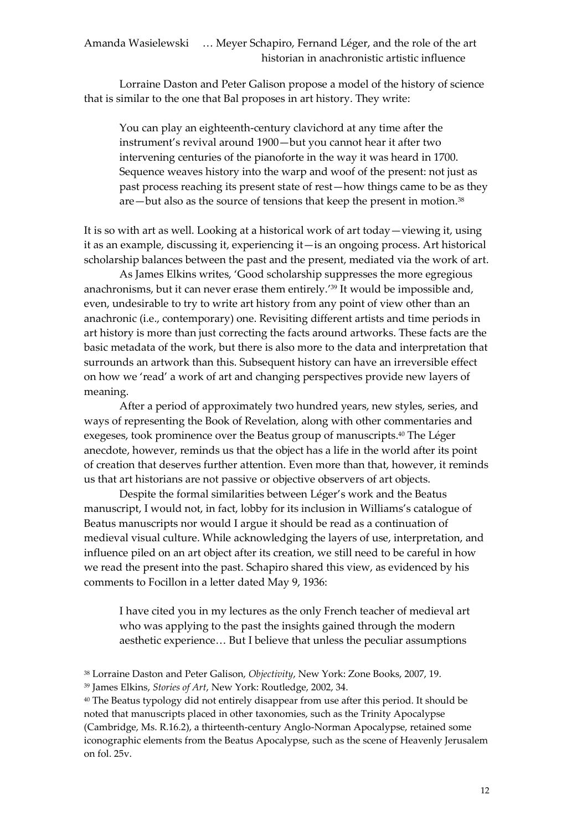Lorraine Daston and Peter Galison propose a model of the history of science that is similar to the one that Bal proposes in art history. They write:

You can play an eighteenth-century clavichord at any time after the instrument's revival around 1900—but you cannot hear it after two intervening centuries of the pianoforte in the way it was heard in 1700. Sequence weaves history into the warp and woof of the present: not just as past process reaching its present state of rest—how things came to be as they are—but also as the source of tensions that keep the present in motion.<sup>38</sup>

It is so with art as well. Looking at a historical work of art today—viewing it, using it as an example, discussing it, experiencing it—is an ongoing process. Art historical scholarship balances between the past and the present, mediated via the work of art.

As James Elkins writes, 'Good scholarship suppresses the more egregious anachronisms, but it can never erase them entirely.' <sup>39</sup> It would be impossible and, even, undesirable to try to write art history from any point of view other than an anachronic (i.e., contemporary) one. Revisiting different artists and time periods in art history is more than just correcting the facts around artworks. These facts are the basic metadata of the work, but there is also more to the data and interpretation that surrounds an artwork than this. Subsequent history can have an irreversible effect on how we 'read' a work of art and changing perspectives provide new layers of meaning.

After a period of approximately two hundred years, new styles, series, and ways of representing the Book of Revelation, along with other commentaries and exegeses, took prominence over the Beatus group of manuscripts. <sup>40</sup> The Léger anecdote, however, reminds us that the object has a life in the world after its point of creation that deserves further attention. Even more than that, however, it reminds us that art historians are not passive or objective observers of art objects.

Despite the formal similarities between Léger's work and the Beatus manuscript, I would not, in fact, lobby for its inclusion in Williams's catalogue of Beatus manuscripts nor would I argue it should be read as a continuation of medieval visual culture. While acknowledging the layers of use, interpretation, and influence piled on an art object after its creation, we still need to be careful in how we read the present into the past. Schapiro shared this view, as evidenced by his comments to Focillon in a letter dated May 9, 1936:

I have cited you in my lectures as the only French teacher of medieval art who was applying to the past the insights gained through the modern aesthetic experience… But I believe that unless the peculiar assumptions

<sup>40</sup> The Beatus typology did not entirely disappear from use after this period. It should be noted that manuscripts placed in other taxonomies, such as the Trinity Apocalypse (Cambridge, Ms. R.16.2), a thirteenth-century Anglo-Norman Apocalypse, retained some iconographic elements from the Beatus Apocalypse, such as the scene of Heavenly Jerusalem on fol. 25v.

<sup>38</sup> Lorraine Daston and Peter Galison, *Objectivity*, New York: Zone Books, 2007, 19.

<sup>39</sup> James Elkins, *Stories of Art*, New York: Routledge, 2002, 34.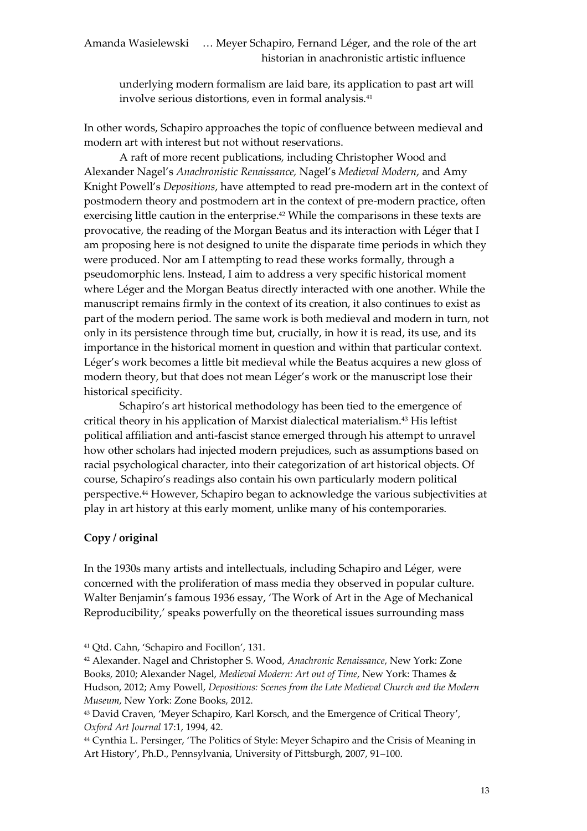underlying modern formalism are laid bare, its application to past art will involve serious distortions, even in formal analysis.<sup>41</sup>

In other words, Schapiro approaches the topic of confluence between medieval and modern art with interest but not without reservations.

A raft of more recent publications, including Christopher Wood and Alexander Nagel's *Anachronistic Renaissance,* Nagel's *Medieval Modern*, and Amy Knight Powell's *Depositions*, have attempted to read pre-modern art in the context of postmodern theory and postmodern art in the context of pre-modern practice, often exercising little caution in the enterprise. <sup>42</sup> While the comparisons in these texts are provocative, the reading of the Morgan Beatus and its interaction with Léger that I am proposing here is not designed to unite the disparate time periods in which they were produced. Nor am I attempting to read these works formally, through a pseudomorphic lens. Instead, I aim to address a very specific historical moment where Léger and the Morgan Beatus directly interacted with one another. While the manuscript remains firmly in the context of its creation, it also continues to exist as part of the modern period. The same work is both medieval and modern in turn, not only in its persistence through time but, crucially, in how it is read, its use, and its importance in the historical moment in question and within that particular context. Léger's work becomes a little bit medieval while the Beatus acquires a new gloss of modern theory, but that does not mean Léger's work or the manuscript lose their historical specificity.

Schapiro's art historical methodology has been tied to the emergence of critical theory in his application of Marxist dialectical materialism.<sup>43</sup> His leftist political affiliation and anti-fascist stance emerged through his attempt to unravel how other scholars had injected modern prejudices, such as assumptions based on racial psychological character, into their categorization of art historical objects. Of course, Schapiro's readings also contain his own particularly modern political perspective.<sup>44</sup> However, Schapiro began to acknowledge the various subjectivities at play in art history at this early moment, unlike many of his contemporaries.

# **Copy / original**

In the 1930s many artists and intellectuals, including Schapiro and Léger, were concerned with the proliferation of mass media they observed in popular culture. Walter Benjamin's famous 1936 essay, 'The Work of Art in the Age of Mechanical Reproducibility,' speaks powerfully on the theoretical issues surrounding mass

<sup>44</sup> Cynthia L. Persinger, 'The Politics of Style: Meyer Schapiro and the Crisis of Meaning in Art History', Ph.D., Pennsylvania, University of Pittsburgh, 2007, 91–100.

<sup>41</sup> Qtd. Cahn, 'Schapiro and Focillon', 131.

<sup>42</sup> Alexander. Nagel and Christopher S. Wood, *Anachronic Renaissance*, New York: Zone Books, 2010; Alexander Nagel, *Medieval Modern: Art out of Time*, New York: Thames & Hudson, 2012; Amy Powell, *Depositions: Scenes from the Late Medieval Church and the Modern Museum*, New York: Zone Books, 2012.

<sup>43</sup> David Craven, 'Meyer Schapiro, Karl Korsch, and the Emergence of Critical Theory', *Oxford Art Journal* 17:1, 1994, 42.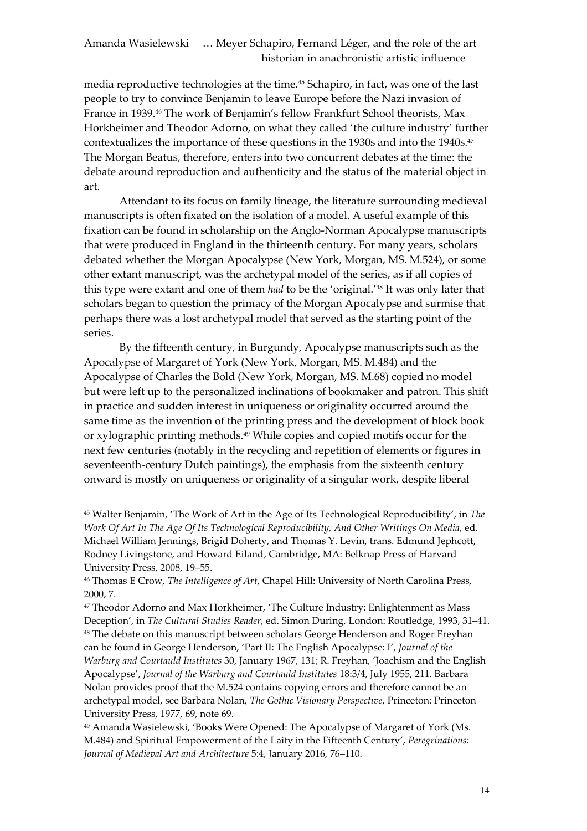media reproductive technologies at the time.<sup>45</sup> Schapiro, in fact, was one of the last people to try to convince Benjamin to leave Europe before the Nazi invasion of France in 1939.<sup>46</sup> The work of Benjamin's fellow Frankfurt School theorists, Max Horkheimer and Theodor Adorno, on what they called 'the culture industry' further contextualizes the importance of these questions in the 1930s and into the 1940s.<sup>47</sup> The Morgan Beatus, therefore, enters into two concurrent debates at the time: the debate around reproduction and authenticity and the status of the material object in art.

Attendant to its focus on family lineage, the literature surrounding medieval manuscripts is often fixated on the isolation of a model. A useful example of this fixation can be found in scholarship on the Anglo-Norman Apocalypse manuscripts that were produced in England in the thirteenth century. For many years, scholars debated whether the Morgan Apocalypse (New York, Morgan, MS. M.524), or some other extant manuscript, was the archetypal model of the series, as if all copies of this type were extant and one of them *had* to be the 'original.' <sup>48</sup> It was only later that scholars began to question the primacy of the Morgan Apocalypse and surmise that perhaps there was a lost archetypal model that served as the starting point of the series.

By the fifteenth century, in Burgundy, Apocalypse manuscripts such as the Apocalypse of Margaret of York (New York, Morgan, MS. M.484) and the Apocalypse of Charles the Bold (New York, Morgan, MS. M.68) copied no model but were left up to the personalized inclinations of bookmaker and patron. This shift in practice and sudden interest in uniqueness or originality occurred around the same time as the invention of the printing press and the development of block book or xylographic printing methods.<sup>49</sup> While copies and copied motifs occur for the next few centuries (notably in the recycling and repetition of elements or figures in seventeenth-century Dutch paintings), the emphasis from the sixteenth century onward is mostly on uniqueness or originality of a singular work, despite liberal

<sup>45</sup> Walter Benjamin, 'The Work of Art in the Age of Its Technological Reproducibility', in *The Work Of Art In The Age Of Its Technological Reproducibility, And Other Writings On Media*, ed. Michael William Jennings, Brigid Doherty, and Thomas Y. Levin, trans. Edmund Jephcott, Rodney Livingstone, and Howard Eiland, Cambridge, MA: Belknap Press of Harvard University Press, 2008, 19–55.

<sup>46</sup> Thomas E Crow, *The Intelligence of Art*, Chapel Hill: University of North Carolina Press, 2000, 7.

<sup>47</sup> Theodor Adorno and Max Horkheimer, 'The Culture Industry: Enlightenment as Mass Deception', in *The Cultural Studies Reader*, ed. Simon During, London: Routledge, 1993, 31–41. <sup>48</sup> The debate on this manuscript between scholars George Henderson and Roger Freyhan can be found in George Henderson, 'Part II: The English Apocalypse: I', *Journal of the Warburg and Courtauld Institutes* 30, January 1967, 131; R. Freyhan, 'Joachism and the English Apocalypse', *Journal of the Warburg and Courtauld Institutes* 18:3/4, July 1955, 211. Barbara Nolan provides proof that the M.524 contains copying errors and therefore cannot be an archetypal model, see Barbara Nolan, *The Gothic Visionary Perspective*, Princeton: Princeton University Press, 1977, 69, note 69.

<sup>49</sup> Amanda Wasielewski, 'Books Were Opened: The Apocalypse of Margaret of York (Ms. M.484) and Spiritual Empowerment of the Laity in the Fifteenth Century', *Peregrinations: Journal of Medieval Art and Architecture* 5:4, January 2016, 76–110.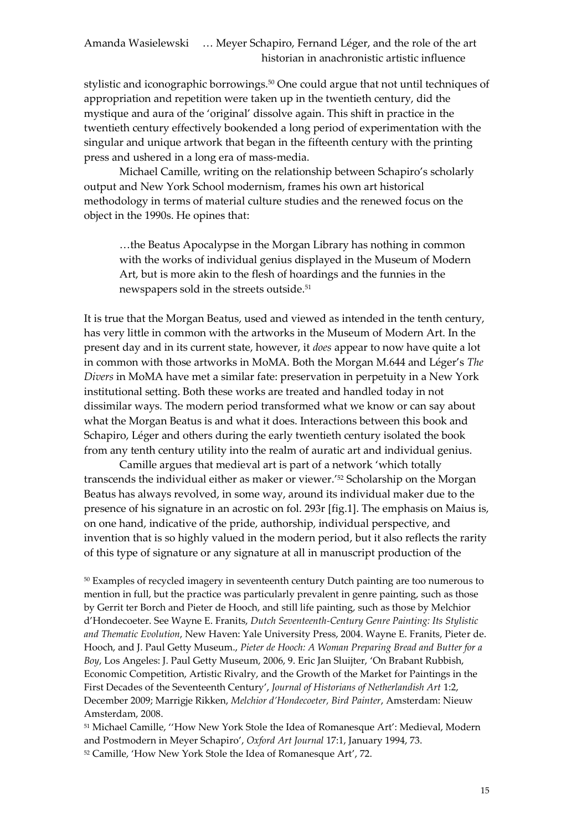stylistic and iconographic borrowings.<sup>50</sup> One could argue that not until techniques of appropriation and repetition were taken up in the twentieth century, did the mystique and aura of the 'original' dissolve again. This shift in practice in the twentieth century effectively bookended a long period of experimentation with the singular and unique artwork that began in the fifteenth century with the printing press and ushered in a long era of mass-media.

Michael Camille, writing on the relationship between Schapiro's scholarly output and New York School modernism, frames his own art historical methodology in terms of material culture studies and the renewed focus on the object in the 1990s. He opines that:

…the Beatus Apocalypse in the Morgan Library has nothing in common with the works of individual genius displayed in the Museum of Modern Art, but is more akin to the flesh of hoardings and the funnies in the newspapers sold in the streets outside.<sup>51</sup>

It is true that the Morgan Beatus, used and viewed as intended in the tenth century, has very little in common with the artworks in the Museum of Modern Art. In the present day and in its current state, however, it *does* appear to now have quite a lot in common with those artworks in MoMA. Both the Morgan M.644 and Léger's *The Divers* in MoMA have met a similar fate: preservation in perpetuity in a New York institutional setting. Both these works are treated and handled today in not dissimilar ways. The modern period transformed what we know or can say about what the Morgan Beatus is and what it does. Interactions between this book and Schapiro, Léger and others during the early twentieth century isolated the book from any tenth century utility into the realm of auratic art and individual genius.

Camille argues that medieval art is part of a network 'which totally transcends the individual either as maker or viewer.' <sup>52</sup> Scholarship on the Morgan Beatus has always revolved, in some way, around its individual maker due to the presence of his signature in an acrostic on fol. 293r [fig.1]. The emphasis on Maius is, on one hand, indicative of the pride, authorship, individual perspective, and invention that is so highly valued in the modern period, but it also reflects the rarity of this type of signature or any signature at all in manuscript production of the

<sup>50</sup> Examples of recycled imagery in seventeenth century Dutch painting are too numerous to mention in full, but the practice was particularly prevalent in genre painting, such as those by Gerrit ter Borch and Pieter de Hooch, and still life painting, such as those by Melchior d'Hondecoeter. See Wayne E. Franits, *Dutch Seventeenth-Century Genre Painting: Its Stylistic and Thematic Evolution*, New Haven: Yale University Press, 2004. Wayne E. Franits, Pieter de. Hooch, and J. Paul Getty Museum., *Pieter de Hooch: A Woman Preparing Bread and Butter for a Boy*, Los Angeles: J. Paul Getty Museum, 2006, 9. Eric Jan Sluijter, 'On Brabant Rubbish, Economic Competition, Artistic Rivalry, and the Growth of the Market for Paintings in the First Decades of the Seventeenth Century', *Journal of Historians of Netherlandish Art* 1:2, December 2009; Marrigje Rikken, *Melchior d'Hondecoeter, Bird Painter*, Amsterdam: Nieuw Amsterdam, 2008.

51 Michael Camille, "How New York Stole the Idea of Romanesque Art': Medieval, Modern and Postmodern in Meyer Schapiro', *Oxford Art Journal* 17:1, January 1994, 73. <sup>52</sup> Camille, 'How New York Stole the Idea of Romanesque Art', 72.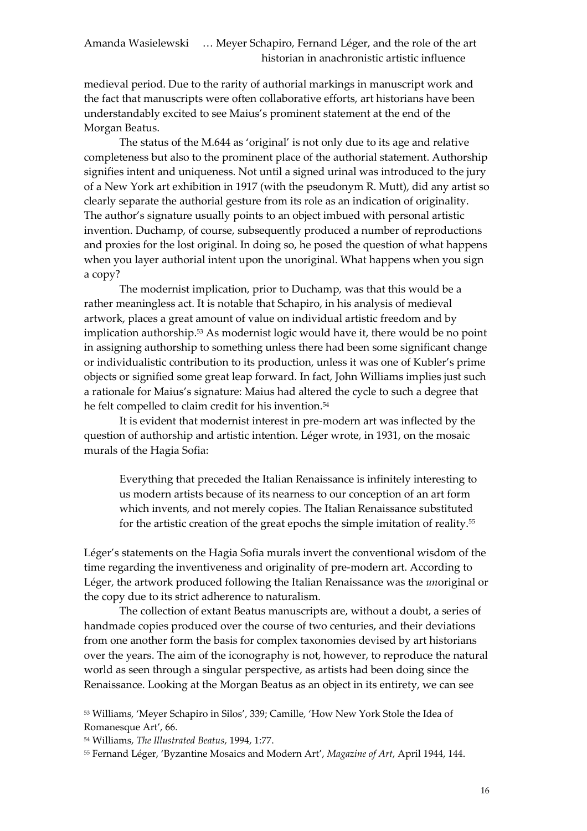medieval period. Due to the rarity of authorial markings in manuscript work and the fact that manuscripts were often collaborative efforts, art historians have been understandably excited to see Maius's prominent statement at the end of the Morgan Beatus.

The status of the M.644 as 'original' is not only due to its age and relative completeness but also to the prominent place of the authorial statement. Authorship signifies intent and uniqueness. Not until a signed urinal was introduced to the jury of a New York art exhibition in 1917 (with the pseudonym R. Mutt), did any artist so clearly separate the authorial gesture from its role as an indication of originality. The author's signature usually points to an object imbued with personal artistic invention. Duchamp, of course, subsequently produced a number of reproductions and proxies for the lost original. In doing so, he posed the question of what happens when you layer authorial intent upon the unoriginal. What happens when you sign a copy?

The modernist implication, prior to Duchamp, was that this would be a rather meaningless act. It is notable that Schapiro, in his analysis of medieval artwork, places a great amount of value on individual artistic freedom and by implication authorship.<sup>53</sup> As modernist logic would have it, there would be no point in assigning authorship to something unless there had been some significant change or individualistic contribution to its production, unless it was one of Kubler's prime objects or signified some great leap forward. In fact, John Williams implies just such a rationale for Maius's signature: Maius had altered the cycle to such a degree that he felt compelled to claim credit for his invention.<sup>54</sup>

It is evident that modernist interest in pre-modern art was inflected by the question of authorship and artistic intention. Léger wrote, in 1931, on the mosaic murals of the Hagia Sofia:

Everything that preceded the Italian Renaissance is infinitely interesting to us modern artists because of its nearness to our conception of an art form which invents, and not merely copies. The Italian Renaissance substituted for the artistic creation of the great epochs the simple imitation of reality.<sup>55</sup>

Léger's statements on the Hagia Sofia murals invert the conventional wisdom of the time regarding the inventiveness and originality of pre-modern art. According to Léger, the artwork produced following the Italian Renaissance was the *un*original or the copy due to its strict adherence to naturalism.

The collection of extant Beatus manuscripts are, without a doubt, a series of handmade copies produced over the course of two centuries, and their deviations from one another form the basis for complex taxonomies devised by art historians over the years. The aim of the iconography is not, however, to reproduce the natural world as seen through a singular perspective, as artists had been doing since the Renaissance. Looking at the Morgan Beatus as an object in its entirety, we can see

<sup>53</sup> Williams, 'Meyer Schapiro in Silos', 339; Camille, 'How New York Stole the Idea of Romanesque Art', 66.

<sup>54</sup> Williams, *The Illustrated Beatus*, 1994, 1:77.

<sup>55</sup> Fernand Léger, 'Byzantine Mosaics and Modern Art', *Magazine of Art*, April 1944, 144.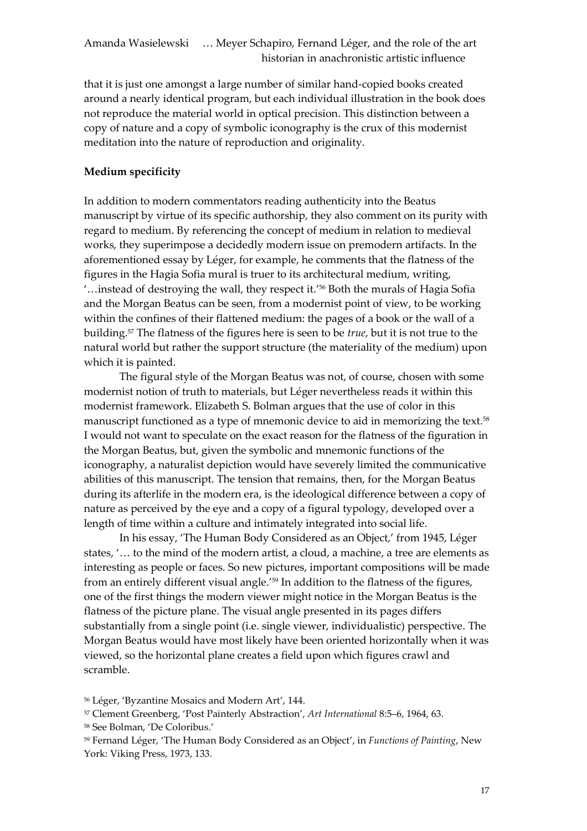that it is just one amongst a large number of similar hand-copied books created around a nearly identical program, but each individual illustration in the book does not reproduce the material world in optical precision. This distinction between a copy of nature and a copy of symbolic iconography is the crux of this modernist meditation into the nature of reproduction and originality.

# **Medium specificity**

In addition to modern commentators reading authenticity into the Beatus manuscript by virtue of its specific authorship, they also comment on its purity with regard to medium. By referencing the concept of medium in relation to medieval works, they superimpose a decidedly modern issue on premodern artifacts. In the aforementioned essay by Léger, for example, he comments that the flatness of the figures in the Hagia Sofia mural is truer to its architectural medium, writing, '…instead of destroying the wall, they respect it.' <sup>56</sup> Both the murals of Hagia Sofia and the Morgan Beatus can be seen, from a modernist point of view, to be working within the confines of their flattened medium: the pages of a book or the wall of a building.<sup>57</sup> The flatness of the figures here is seen to be *true*, but it is not true to the natural world but rather the support structure (the materiality of the medium) upon which it is painted.

The figural style of the Morgan Beatus was not, of course, chosen with some modernist notion of truth to materials, but Léger nevertheless reads it within this modernist framework. Elizabeth S. Bolman argues that the use of color in this manuscript functioned as a type of mnemonic device to aid in memorizing the text.<sup>58</sup> I would not want to speculate on the exact reason for the flatness of the figuration in the Morgan Beatus, but, given the symbolic and mnemonic functions of the iconography, a naturalist depiction would have severely limited the communicative abilities of this manuscript. The tension that remains, then, for the Morgan Beatus during its afterlife in the modern era, is the ideological difference between a copy of nature as perceived by the eye and a copy of a figural typology, developed over a length of time within a culture and intimately integrated into social life.

In his essay, 'The Human Body Considered as an Object,' from 1945, Léger states, '… to the mind of the modern artist, a cloud, a machine, a tree are elements as interesting as people or faces. So new pictures, important compositions will be made from an entirely different visual angle.' <sup>59</sup> In addition to the flatness of the figures, one of the first things the modern viewer might notice in the Morgan Beatus is the flatness of the picture plane. The visual angle presented in its pages differs substantially from a single point (i.e. single viewer, individualistic) perspective. The Morgan Beatus would have most likely have been oriented horizontally when it was viewed, so the horizontal plane creates a field upon which figures crawl and scramble.

<sup>56</sup> Léger, 'Byzantine Mosaics and Modern Art', 144.

<sup>57</sup> Clement Greenberg, 'Post Painterly Abstraction', *Art International* 8:5–6, 1964, 63.

<sup>58</sup> See Bolman, 'De Coloribus.'

<sup>59</sup> Fernand Léger, 'The Human Body Considered as an Object', in *Functions of Painting*, New York: Viking Press, 1973, 133.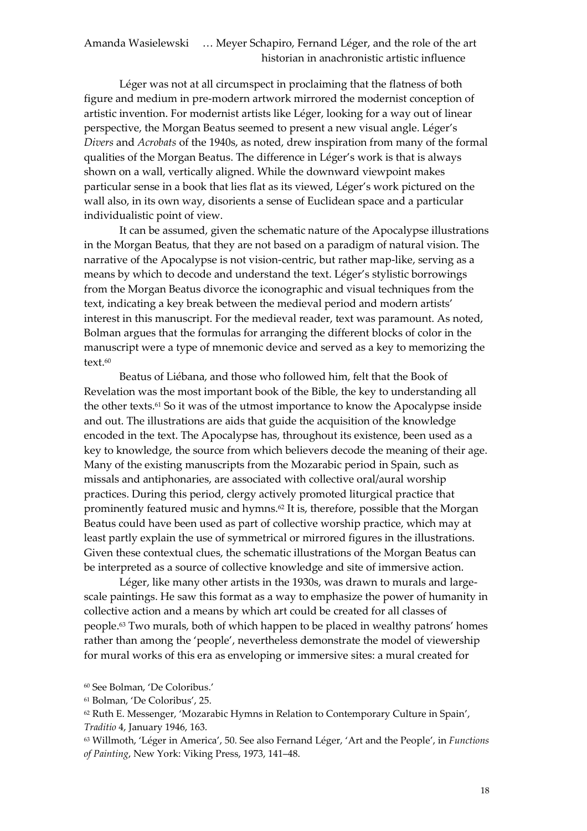Léger was not at all circumspect in proclaiming that the flatness of both figure and medium in pre-modern artwork mirrored the modernist conception of artistic invention. For modernist artists like Léger, looking for a way out of linear perspective, the Morgan Beatus seemed to present a new visual angle. Léger's *Divers* and *Acrobats* of the 1940s, as noted, drew inspiration from many of the formal qualities of the Morgan Beatus. The difference in Léger's work is that is always shown on a wall, vertically aligned. While the downward viewpoint makes particular sense in a book that lies flat as its viewed, Léger's work pictured on the wall also, in its own way, disorients a sense of Euclidean space and a particular individualistic point of view.

It can be assumed, given the schematic nature of the Apocalypse illustrations in the Morgan Beatus, that they are not based on a paradigm of natural vision. The narrative of the Apocalypse is not vision-centric, but rather map-like, serving as a means by which to decode and understand the text. Léger's stylistic borrowings from the Morgan Beatus divorce the iconographic and visual techniques from the text, indicating a key break between the medieval period and modern artists' interest in this manuscript. For the medieval reader, text was paramount. As noted, Bolman argues that the formulas for arranging the different blocks of color in the manuscript were a type of mnemonic device and served as a key to memorizing the text.<sup>60</sup>

Beatus of Liébana, and those who followed him, felt that the Book of Revelation was the most important book of the Bible, the key to understanding all the other texts.<sup>61</sup> So it was of the utmost importance to know the Apocalypse inside and out. The illustrations are aids that guide the acquisition of the knowledge encoded in the text. The Apocalypse has, throughout its existence, been used as a key to knowledge, the source from which believers decode the meaning of their age. Many of the existing manuscripts from the Mozarabic period in Spain, such as missals and antiphonaries, are associated with collective oral/aural worship practices. During this period, clergy actively promoted liturgical practice that prominently featured music and hymns.<sup>62</sup> It is, therefore, possible that the Morgan Beatus could have been used as part of collective worship practice, which may at least partly explain the use of symmetrical or mirrored figures in the illustrations. Given these contextual clues, the schematic illustrations of the Morgan Beatus can be interpreted as a source of collective knowledge and site of immersive action.

Léger, like many other artists in the 1930s, was drawn to murals and largescale paintings. He saw this format as a way to emphasize the power of humanity in collective action and a means by which art could be created for all classes of people.<sup>63</sup> Two murals, both of which happen to be placed in wealthy patrons' homes rather than among the 'people', nevertheless demonstrate the model of viewership for mural works of this era as enveloping or immersive sites: a mural created for

<sup>60</sup> See Bolman, 'De Coloribus.'

<sup>61</sup> Bolman, 'De Coloribus', 25.

<sup>62</sup> Ruth E. Messenger, 'Mozarabic Hymns in Relation to Contemporary Culture in Spain', *Traditio* 4, January 1946, 163.

<sup>63</sup> Willmoth, 'Léger in America', 50. See also Fernand Léger, 'Art and the People', in *Functions of Painting*, New York: Viking Press, 1973, 141–48.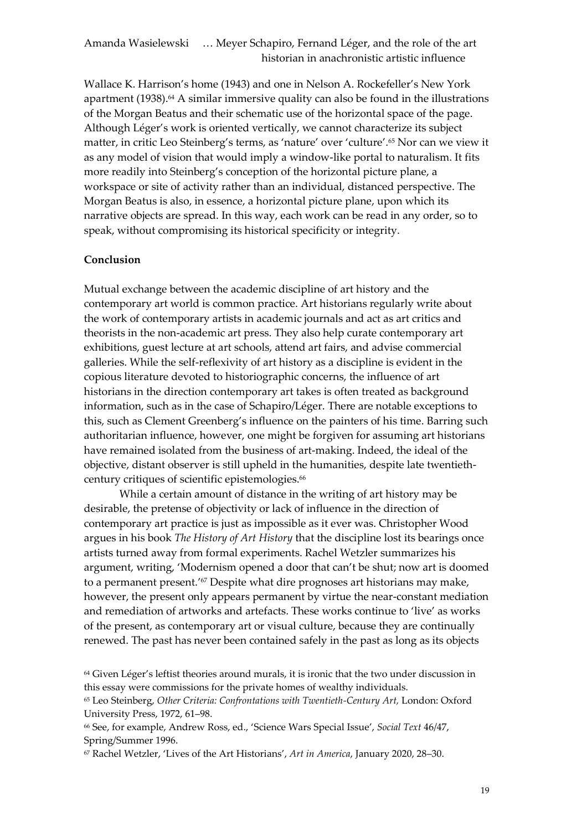Wallace K. Harrison's home (1943) and one in Nelson A. Rockefeller's New York apartment (1938). <sup>64</sup> A similar immersive quality can also be found in the illustrations of the Morgan Beatus and their schematic use of the horizontal space of the page. Although Léger's work is oriented vertically, we cannot characterize its subject matter, in critic Leo Steinberg's terms, as 'nature' over 'culture'.<sup>65</sup> Nor can we view it as any model of vision that would imply a window-like portal to naturalism. It fits more readily into Steinberg's conception of the horizontal picture plane, a workspace or site of activity rather than an individual, distanced perspective. The Morgan Beatus is also, in essence, a horizontal picture plane, upon which its narrative objects are spread. In this way, each work can be read in any order, so to speak, without compromising its historical specificity or integrity.

#### **Conclusion**

Mutual exchange between the academic discipline of art history and the contemporary art world is common practice. Art historians regularly write about the work of contemporary artists in academic journals and act as art critics and theorists in the non-academic art press. They also help curate contemporary art exhibitions, guest lecture at art schools, attend art fairs, and advise commercial galleries. While the self-reflexivity of art history as a discipline is evident in the copious literature devoted to historiographic concerns, the influence of art historians in the direction contemporary art takes is often treated as background information, such as in the case of Schapiro/Léger. There are notable exceptions to this, such as Clement Greenberg's influence on the painters of his time. Barring such authoritarian influence, however, one might be forgiven for assuming art historians have remained isolated from the business of art-making. Indeed, the ideal of the objective, distant observer is still upheld in the humanities, despite late twentiethcentury critiques of scientific epistemologies.<sup>66</sup>

While a certain amount of distance in the writing of art history may be desirable, the pretense of objectivity or lack of influence in the direction of contemporary art practice is just as impossible as it ever was. Christopher Wood argues in his book *The History of Art History* that the discipline lost its bearings once artists turned away from formal experiments. Rachel Wetzler summarizes his argument, writing, 'Modernism opened a door that can't be shut; now art is doomed to a permanent present.' <sup>67</sup> Despite what dire prognoses art historians may make, however, the present only appears permanent by virtue the near-constant mediation and remediation of artworks and artefacts. These works continue to 'live' as works of the present, as contemporary art or visual culture, because they are continually renewed. The past has never been contained safely in the past as long as its objects

<sup>64</sup> Given Léger's leftist theories around murals, it is ironic that the two under discussion in this essay were commissions for the private homes of wealthy individuals.

<sup>65</sup> Leo Steinberg, *Other Criteria: Confrontations with Twentieth-Century Art,* London: Oxford University Press, 1972, 61–98.

<sup>66</sup> See, for example, Andrew Ross, ed., 'Science Wars Special Issue', *Social Text* 46/47, Spring/Summer 1996.

<sup>67</sup> Rachel Wetzler, 'Lives of the Art Historians', *Art in America*, January 2020, 28–30.